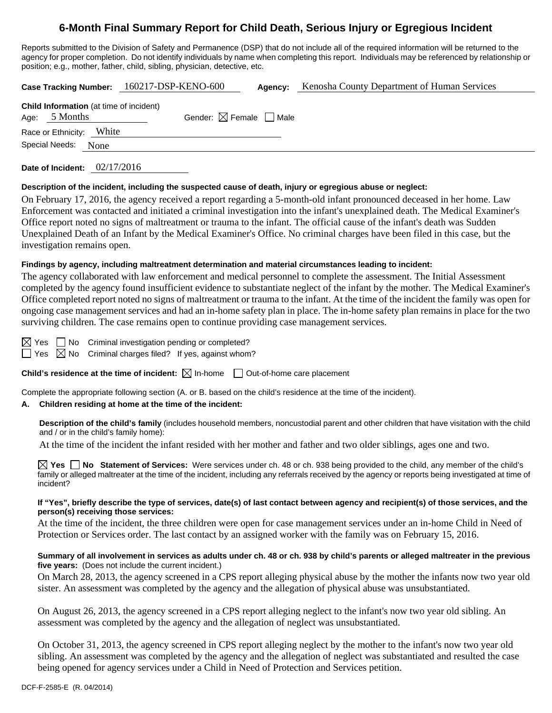# **6-Month Final Summary Report for Child Death, Serious Injury or Egregious Incident**

Reports submitted to the Division of Safety and Permanence (DSP) that do not include all of the required information will be returned to the agency for proper completion. Do not identify individuals by name when completing this report. Individuals may be referenced by relationship or position; e.g., mother, father, child, sibling, physician, detective, etc.

|                          |                                                                   | Case Tracking Number: 160217-DSP-KENO-600 | Agency: | Kenosha County Department of Human Services |  |  |
|--------------------------|-------------------------------------------------------------------|-------------------------------------------|---------|---------------------------------------------|--|--|
|                          | <b>Child Information</b> (at time of incident)<br>Age: $5$ Months | Gender: $\boxtimes$ Female $\Box$ Male    |         |                                             |  |  |
| Race or Ethnicity: White |                                                                   |                                           |         |                                             |  |  |
| Special Needs:<br>None   |                                                                   |                                           |         |                                             |  |  |
|                          |                                                                   |                                           |         |                                             |  |  |

**Date of Incident:** 02/17/2016

### **Description of the incident, including the suspected cause of death, injury or egregious abuse or neglect:**

On February 17, 2016, the agency received a report regarding a 5-month-old infant pronounced deceased in her home. Law Enforcement was contacted and initiated a criminal investigation into the infant's unexplained death. The Medical Examiner's Office report noted no signs of maltreatment or trauma to the infant. The official cause of the infant's death was Sudden Unexplained Death of an Infant by the Medical Examiner's Office. No criminal charges have been filed in this case, but the investigation remains open.

### **Findings by agency, including maltreatment determination and material circumstances leading to incident:**

The agency collaborated with law enforcement and medical personnel to complete the assessment. The Initial Assessment completed by the agency found insufficient evidence to substantiate neglect of the infant by the mother. The Medical Examiner's Office completed report noted no signs of maltreatment or trauma to the infant. At the time of the incident the family was open for ongoing case management services and had an in-home safety plan in place. The in-home safety plan remains in place for the two surviving children. The case remains open to continue providing case management services.

 $\boxtimes$  Yes  $\Box$  No Criminal investigation pending or completed?

 $\Box$  Yes  $\boxtimes$  No Criminal charges filed? If yes, against whom?

**Child's residence at the time of incident:**  $\boxtimes$  In-home  $\Box$  Out-of-home care placement

Complete the appropriate following section (A. or B. based on the child's residence at the time of the incident).

## **A. Children residing at home at the time of the incident:**

**Description of the child's family** (includes household members, noncustodial parent and other children that have visitation with the child and / or in the child's family home):

At the time of the incident the infant resided with her mother and father and two older siblings, ages one and two.

**Yes No Statement of Services:** Were services under ch. 48 or ch. 938 being provided to the child, any member of the child's family or alleged maltreater at the time of the incident, including any referrals received by the agency or reports being investigated at time of incident?

## **If "Yes", briefly describe the type of services, date(s) of last contact between agency and recipient(s) of those services, and the person(s) receiving those services:**

At the time of the incident, the three children were open for case management services under an in-home Child in Need of Protection or Services order. The last contact by an assigned worker with the family was on February 15, 2016.

## **Summary of all involvement in services as adults under ch. 48 or ch. 938 by child's parents or alleged maltreater in the previous five years:** (Does not include the current incident.)

On March 28, 2013, the agency screened in a CPS report alleging physical abuse by the mother the infants now two year old sister. An assessment was completed by the agency and the allegation of physical abuse was unsubstantiated.

On August 26, 2013, the agency screened in a CPS report alleging neglect to the infant's now two year old sibling. An assessment was completed by the agency and the allegation of neglect was unsubstantiated.

On October 31, 2013, the agency screened in CPS report alleging neglect by the mother to the infant's now two year old sibling. An assessment was completed by the agency and the allegation of neglect was substantiated and resulted the case being opened for agency services under a Child in Need of Protection and Services petition.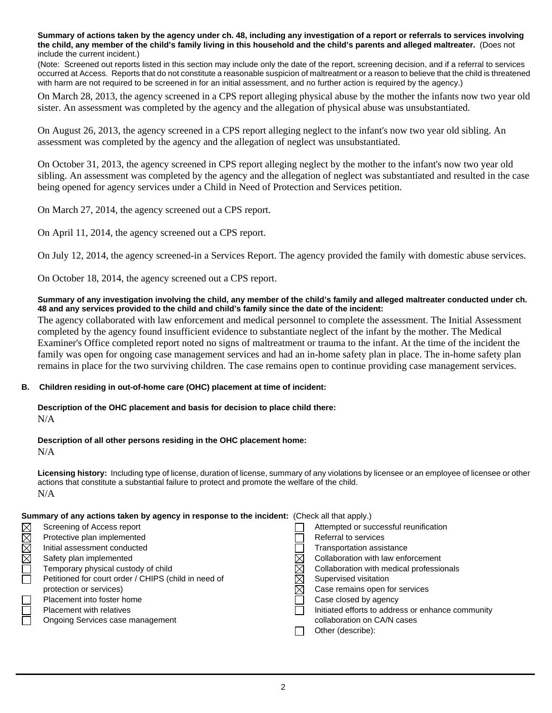**Summary of actions taken by the agency under ch. 48, including any investigation of a report or referrals to services involving the child, any member of the child's family living in this household and the child's parents and alleged maltreater.** (Does not include the current incident.)

(Note: Screened out reports listed in this section may include only the date of the report, screening decision, and if a referral to services occurred at Access. Reports that do not constitute a reasonable suspicion of maltreatment or a reason to believe that the child is threatened with harm are not required to be screened in for an initial assessment, and no further action is required by the agency.)

On March 28, 2013, the agency screened in a CPS report alleging physical abuse by the mother the infants now two year old sister. An assessment was completed by the agency and the allegation of physical abuse was unsubstantiated.

On August 26, 2013, the agency screened in a CPS report alleging neglect to the infant's now two year old sibling. An assessment was completed by the agency and the allegation of neglect was unsubstantiated.

On October 31, 2013, the agency screened in CPS report alleging neglect by the mother to the infant's now two year old sibling. An assessment was completed by the agency and the allegation of neglect was substantiated and resulted in the case being opened for agency services under a Child in Need of Protection and Services petition.

On March 27, 2014, the agency screened out a CPS report.

On April 11, 2014, the agency screened out a CPS report.

On July 12, 2014, the agency screened-in a Services Report. The agency provided the family with domestic abuse services.

On October 18, 2014, the agency screened out a CPS report.

### **Summary of any investigation involving the child, any member of the child's family and alleged maltreater conducted under ch. 48 and any services provided to the child and child's family since the date of the incident:**

The agency collaborated with law enforcement and medical personnel to complete the assessment. The Initial Assessment completed by the agency found insufficient evidence to substantiate neglect of the infant by the mother. The Medical Examiner's Office completed report noted no signs of maltreatment or trauma to the infant. At the time of the incident the family was open for ongoing case management services and had an in-home safety plan in place. The in-home safety plan remains in place for the two surviving children. The case remains open to continue providing case management services.

### **B. Children residing in out-of-home care (OHC) placement at time of incident:**

#### **Description of the OHC placement and basis for decision to place child there:** N/A

### **Description of all other persons residing in the OHC placement home:**

N/A

**Licensing history:** Including type of license, duration of license, summary of any violations by licensee or an employee of licensee or other actions that constitute a substantial failure to protect and promote the welfare of the child. N/A

### **Summary of any actions taken by agency in response to the incident:** (Check all that apply.)

| $\boxtimes$ | Screening of Access report                           | Attempted or successful reunification             |
|-------------|------------------------------------------------------|---------------------------------------------------|
|             | Protective plan implemented                          | Referral to services                              |
|             | Initial assessment conducted                         | <b>Transportation assistance</b>                  |
| MMM         | Safety plan implemented                              | Collaboration with law enforcement                |
|             | Temporary physical custody of child                  | Collaboration with medical professionals          |
|             | Petitioned for court order / CHIPS (child in need of | Supervised visitation                             |
|             | protection or services)                              | Case remains open for services                    |
|             | Placement into foster home                           | Case closed by agency                             |
|             | <b>Placement with relatives</b>                      | Initiated efforts to address or enhance community |
|             | Ongoing Services case management                     | collaboration on CA/N cases                       |
|             |                                                      | Other (describe):                                 |
|             |                                                      |                                                   |